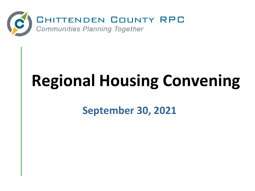

## **Regional Housing Convening**

**September 30, 2021**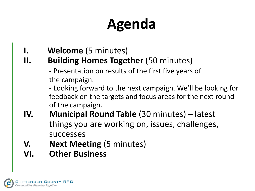## **Agenda**

- **I. Welcome** (5 minutes)
- **II.** Building Homes Together (50 minutes)

- Presentation on results of the first five years of the campaign.

- Looking forward to the next campaign. We'll be looking for feedback on the targets and focus areas for the next round of the campaign.

- **IV. Municipal Round Table** (30 minutes) latest things you are working on, issues, challenges, successes
- **V.** Next Meeting (5 minutes)
- **VI. Other Business**

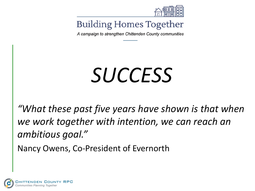

A campaign to strengthen Chittenden County communities

## *SUCCESS*

*"What these past five years have shown is that when we work together with intention, we can reach an ambitious goal."* 

Nancy Owens, Co-President of Evernorth

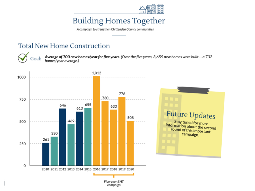

A campaign to strengthen Chittenden County communities

#### **Total New Home Construction**



Average of 700 new homes/year for five years. (Over the five years, 3,659 new homes were built -- a 732 homes/year average.)

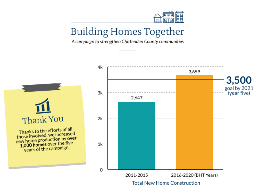

A campaign to strengthen Chittenden County communities



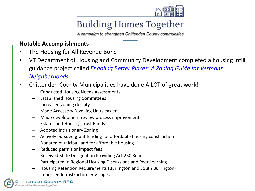

A campaign to strengthen Chittenden County communities

#### **Notable Accomplishments**

- The Housing for All Revenue Bond
- VT Department of Housing and Community Development completed a housing infill guidance project called *[Enabling Better Places: A Zoning Guide for Vermont](https://accd.vermont.gov/sites/accdnew/files/documents/CD/CPR/CPR-Z4GN-Guide-Final-web.pdf)  Neighborhoods*.
- Chittenden County Municipalities have done A LOT of great work!
	- Conducted Housing Needs Assessments
	- Established Housing Committees
	- Increased zoning density
	- Made Accessory Dwelling Units easier
	- Made development review process improvements
	- Established Housing Trust Funds
	- Adopted Inclusionary Zoning
	- Actively pursued grant funding for affordable housing construction
	- Donated municipal land for affordable housing
	- Reduced permit or impact fees
	- Received State Designation Providing Act 250 Relief
	- Participated in Regional Housing Discussions and Peer Learning
	- Housing Retention Requirements (Burlington and South Burlington)
	- Improved Infrastructure in Villages

HITTENDEN COUNTY RPC Communities Planning Together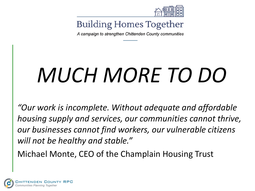

A campaign to strengthen Chittenden County communities

# *MUCH MORE TO DO*

*"Our work is incomplete. Without adequate and affordable housing supply and services, our communities cannot thrive, our businesses cannot find workers, our vulnerable citizens will not be healthy and stable."*

Michael Monte, CEO of the Champlain Housing Trust

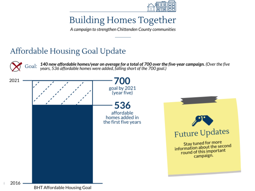

A campaign to strengthen Chittenden County communities

#### Affordable Housing Goal Update



140 new affordable homes/year on average for a total of 700 over the five-year campaign. (Over the five years, 536 affordable homes were added, falling short of the 700 goal.)

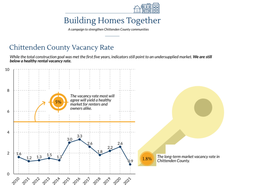

A campaign to strengthen Chittenden County communities

#### Chittenden County Vacancy Rate

While the total construction goal was met the first five years, indicators still point to an undersupplied market. We are still below a healthy rental vacancy rate.

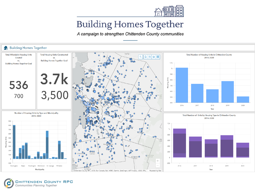

A campaign to strengthen Chittenden County communities

#### **Building Homes Together** 숢 Fairfax **Total Housing Units Constructed Total Affordable Housing Units Total Number of Housing Units in Chittenden County**  $\alpha$ Created 2016-2020  $\mathbf{v}$ vs. **Building Homes Together Goal** ൙ **Building Homes Together Goal**  $1.1k$  $0<sup>o</sup>$  $1<sub>k</sub>$  $\circ$ 3.7k<br>3,500  $\circ$ 900  $\Omega$ **Jousing Units** 800  $\Omega$ 536 700 600 700 500 400 2017 2016 2018 2019 2020 Year Number of Housing Units by Type and Municipality Total Number of Units by Housing Type in Chittenden County 2016-2020 2016-2020 900  $1.2k$ 800  $1k$ 700 600 800  $\infty$ **Housing Units** 500 600 400 400 300  $\infty$ 200 200 100 lun<mark>ti</mark>ngton  $\Omega$  $^{+}$  $-100$  $-200$  $\overline{\phantom{0}}$ 2016 2017 2018 2019 2020 Burlington Essex Huntington Richmond St. George Williston Municipality Ferrisburg<br>Chittenden County RPC, VCGI, Esri Canada, Esri, HERE, Garmin, SafeGraph, METI/NASA, USGS, EPA, Year Powered by Esri

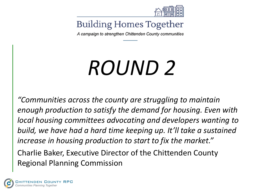

A campaign to strengthen Chittenden County communities

## *ROUND 2*

*"Communities across the county are struggling to maintain enough production to satisfy the demand for housing. Even with local housing committees advocating and developers wanting to build, we have had a hard time keeping up. It'll take a sustained increase in housing production to start to fix the market."* Charlie Baker, Executive Director of the Chittenden County Regional Planning Commission

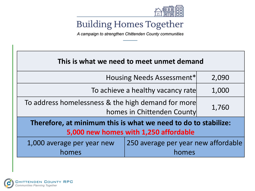

A campaign to strengthen Chittenden County communities

| This is what we need to meet unmet demand                                                               |                                              |       |
|---------------------------------------------------------------------------------------------------------|----------------------------------------------|-------|
| Housing Needs Assessment*                                                                               |                                              | 2,090 |
| To achieve a healthy vacancy rate                                                                       |                                              | 1,000 |
| To address homelessness & the high demand for more<br>homes in Chittenden County                        |                                              | 1,760 |
| Therefore, at minimum this is what we need to do to stabilize:<br>5,000 new homes with 1,250 affordable |                                              |       |
| 1,000 average per year new<br>homes                                                                     | 250 average per year new affordable<br>homes |       |

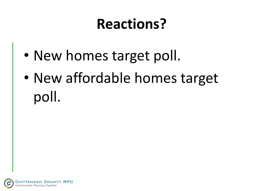## **Reactions?**

- New homes target poll.
- New affordable homes target poll.

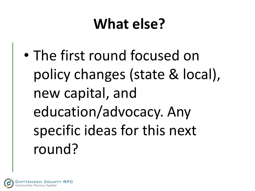## **What else?**

• The first round focused on policy changes (state & local), new capital, and education/advocacy. Any specific ideas for this next round?

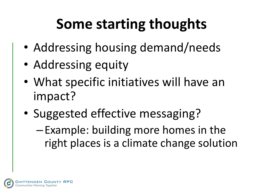## **Some starting thoughts**

- Addressing housing demand/needs
- Addressing equity
- What specific initiatives will have an impact?
- Suggested effective messaging?
	- –Example: building more homes in the right places is a climate change solution

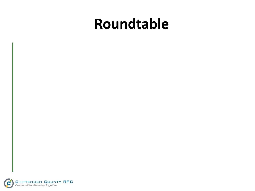### **Roundtable**

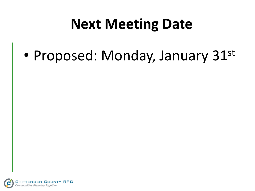### **Next Meeting Date**

• Proposed: Monday, January 31st